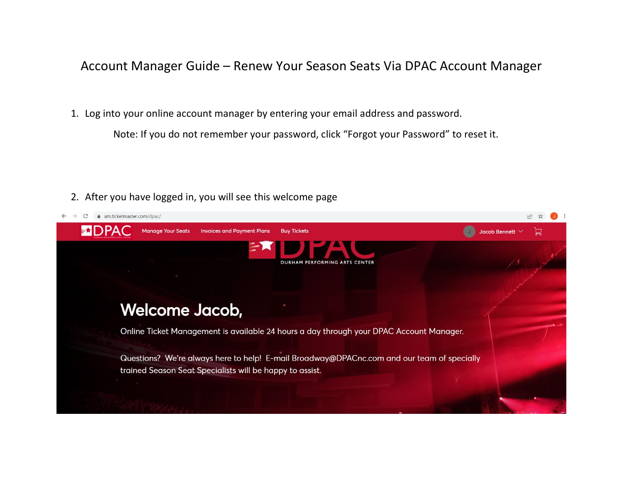## Account Manager Guide – Renew Your Season Seats Via DPAC Account Manager

1. Log into your online account manager by entering your email address and password.

Note: If you do not remember your password, click "Forgot your Password" to reset it.

2. After you have logged in, you will see this welcome page

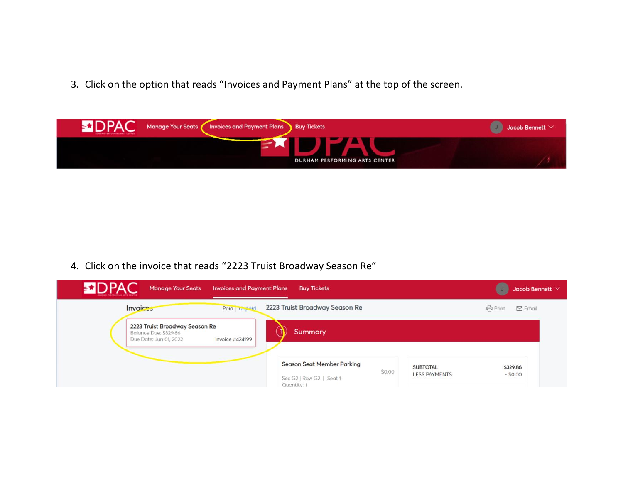3. Click on the option that reads "Invoices and Payment Plans" at the top of the screen.



4. Click on the invoice that reads "2223 Truist Broadway Season Re"

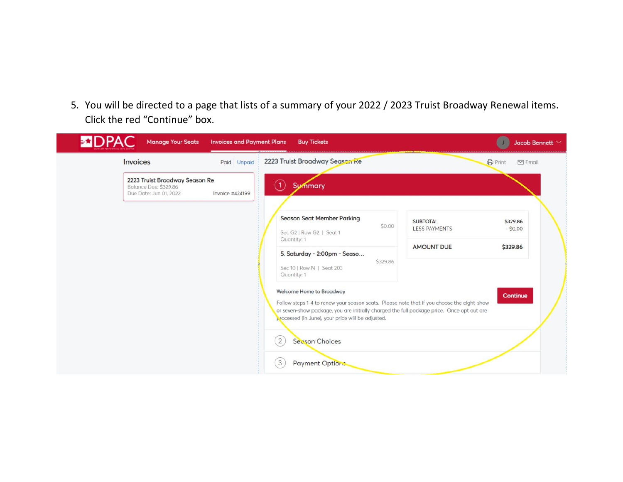5. You will be directed to a page that lists of a summary of your 2022 / 2023 Truist Broadway Renewal items. Click the red "Continue" box.

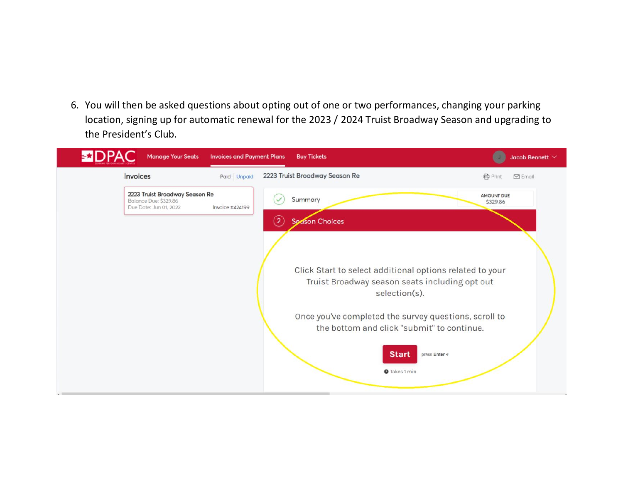6. You will then be asked questions about opting out of one or two performances, changing your parking location, signing up for automatic renewal for the 2023 / 2024 Truist Broadway Season and upgrading to the President's Club.

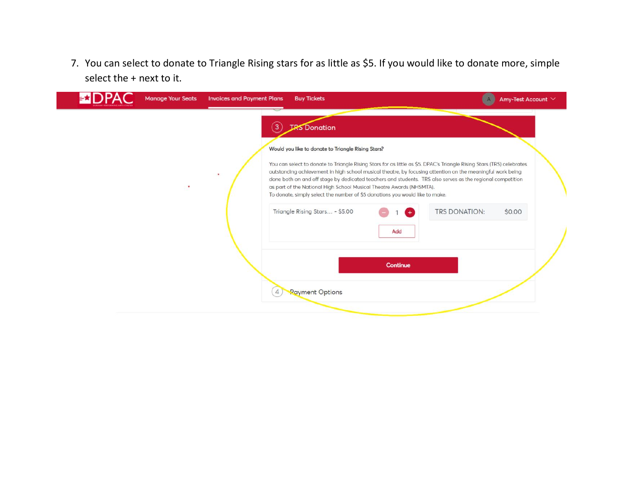7. You can select to donate to Triangle Rising stars for as little as \$5. If you would like to donate more, simple select the + next to it.

|   |                     |                                |                                                    | Amy-Test Account $\vee$                                                                                                                                                                                                                                                                                                                                                                                                                                                                                   |
|---|---------------------|--------------------------------|----------------------------------------------------|-----------------------------------------------------------------------------------------------------------------------------------------------------------------------------------------------------------------------------------------------------------------------------------------------------------------------------------------------------------------------------------------------------------------------------------------------------------------------------------------------------------|
| 3 | <b>IRS</b> Donation |                                |                                                    |                                                                                                                                                                                                                                                                                                                                                                                                                                                                                                           |
|   |                     |                                |                                                    |                                                                                                                                                                                                                                                                                                                                                                                                                                                                                                           |
| ٠ |                     |                                |                                                    |                                                                                                                                                                                                                                                                                                                                                                                                                                                                                                           |
|   |                     | Add                            | TRS DONATION:                                      | \$0.00                                                                                                                                                                                                                                                                                                                                                                                                                                                                                                    |
| 4 | Payment Options     | Continue                       |                                                    |                                                                                                                                                                                                                                                                                                                                                                                                                                                                                                           |
|   |                     | Triangle Rising Stars - \$5.00 | Would you like to donate to Triangle Rising Stars? | You can select to donate to Triangle Rising Stars for as little as \$5. DPAC's Triangle Rising Stars (TRS) celebrates<br>outstanding achievement in high school musical theatre, by focusing attention on the meaningful work being<br>done both on and off stage by dedicated teachers and students. TRS also serves as the regional competition<br>as part of the National High School Musical Theatre Awards (NHSMTA).<br>To donate, simply select the number of \$5 donations you would like to make. |